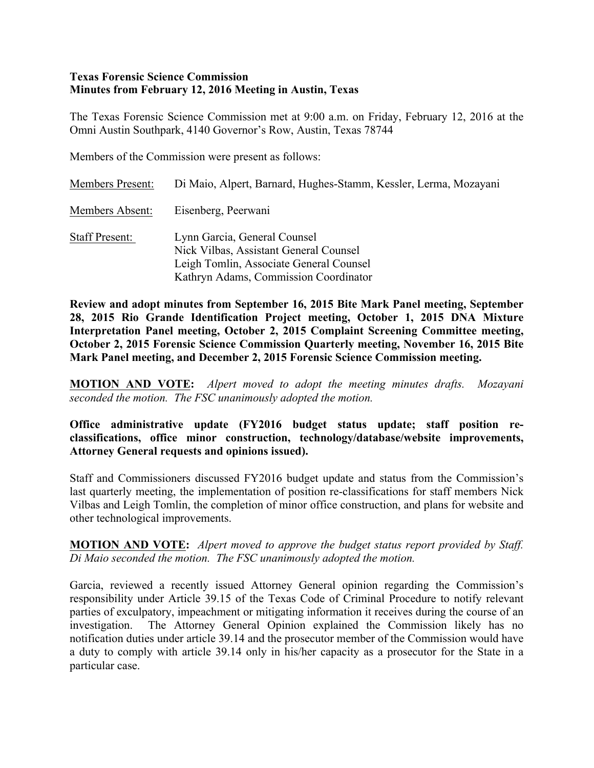### **Texas Forensic Science Commission Minutes from February 12, 2016 Meeting in Austin, Texas**

The Texas Forensic Science Commission met at 9:00 a.m. on Friday, February 12, 2016 at the Omni Austin Southpark, 4140 Governor's Row, Austin, Texas 78744

Members of the Commission were present as follows:

| Members Present:      | Di Maio, Alpert, Barnard, Hughes-Stamm, Kessler, Lerma, Mozayani                                                                                           |
|-----------------------|------------------------------------------------------------------------------------------------------------------------------------------------------------|
| Members Absent:       | Eisenberg, Peerwani                                                                                                                                        |
| <b>Staff Present:</b> | Lynn Garcia, General Counsel<br>Nick Vilbas, Assistant General Counsel<br>Leigh Tomlin, Associate General Counsel<br>Kathryn Adams, Commission Coordinator |

**Review and adopt minutes from September 16, 2015 Bite Mark Panel meeting, September 28, 2015 Rio Grande Identification Project meeting, October 1, 2015 DNA Mixture Interpretation Panel meeting, October 2, 2015 Complaint Screening Committee meeting, October 2, 2015 Forensic Science Commission Quarterly meeting, November 16, 2015 Bite Mark Panel meeting, and December 2, 2015 Forensic Science Commission meeting.**

**MOTION AND VOTE:** *Alpert moved to adopt the meeting minutes drafts. Mozayani seconded the motion. The FSC unanimously adopted the motion.*

### **Office administrative update (FY2016 budget status update; staff position reclassifications, office minor construction, technology/database/website improvements, Attorney General requests and opinions issued).**

Staff and Commissioners discussed FY2016 budget update and status from the Commission's last quarterly meeting, the implementation of position re-classifications for staff members Nick Vilbas and Leigh Tomlin, the completion of minor office construction, and plans for website and other technological improvements.

**MOTION AND VOTE:** *Alpert moved to approve the budget status report provided by Staff. Di Maio seconded the motion. The FSC unanimously adopted the motion.*

Garcia, reviewed a recently issued Attorney General opinion regarding the Commission's responsibility under Article 39.15 of the Texas Code of Criminal Procedure to notify relevant parties of exculpatory, impeachment or mitigating information it receives during the course of an investigation. The Attorney General Opinion explained the Commission likely has no notification duties under article 39.14 and the prosecutor member of the Commission would have a duty to comply with article 39.14 only in his/her capacity as a prosecutor for the State in a particular case.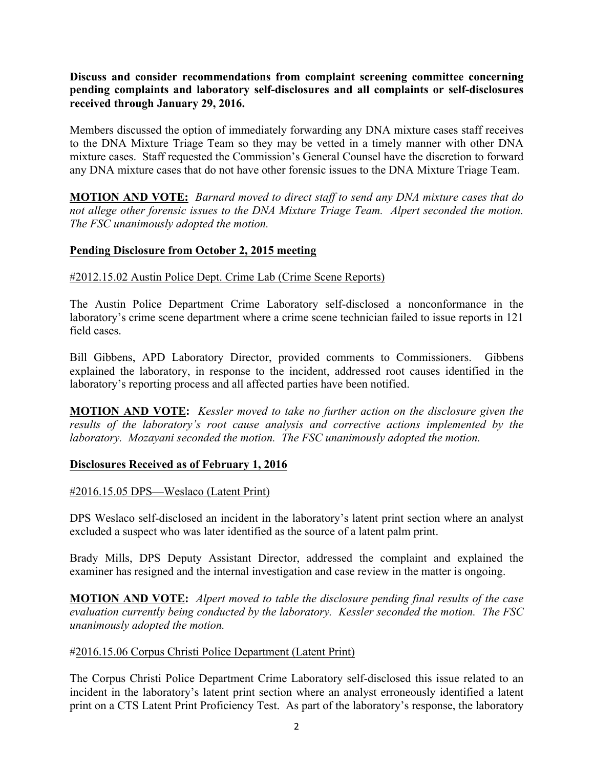**Discuss and consider recommendations from complaint screening committee concerning pending complaints and laboratory self-disclosures and all complaints or self-disclosures received through January 29, 2016.** 

Members discussed the option of immediately forwarding any DNA mixture cases staff receives to the DNA Mixture Triage Team so they may be vetted in a timely manner with other DNA mixture cases. Staff requested the Commission's General Counsel have the discretion to forward any DNA mixture cases that do not have other forensic issues to the DNA Mixture Triage Team.

**MOTION AND VOTE:** *Barnard moved to direct staff to send any DNA mixture cases that do not allege other forensic issues to the DNA Mixture Triage Team. Alpert seconded the motion. The FSC unanimously adopted the motion.* 

## **Pending Disclosure from October 2, 2015 meeting**

## #2012.15.02 Austin Police Dept. Crime Lab (Crime Scene Reports)

The Austin Police Department Crime Laboratory self-disclosed a nonconformance in the laboratory's crime scene department where a crime scene technician failed to issue reports in 121 field cases.

Bill Gibbens, APD Laboratory Director, provided comments to Commissioners. Gibbens explained the laboratory, in response to the incident, addressed root causes identified in the laboratory's reporting process and all affected parties have been notified.

**MOTION AND VOTE:** *Kessler moved to take no further action on the disclosure given the results of the laboratory's root cause analysis and corrective actions implemented by the laboratory. Mozayani seconded the motion. The FSC unanimously adopted the motion.*

#### **Disclosures Received as of February 1, 2016**

#### #2016.15.05 DPS—Weslaco (Latent Print)

DPS Weslaco self-disclosed an incident in the laboratory's latent print section where an analyst excluded a suspect who was later identified as the source of a latent palm print.

Brady Mills, DPS Deputy Assistant Director, addressed the complaint and explained the examiner has resigned and the internal investigation and case review in the matter is ongoing.

**MOTION AND VOTE:** *Alpert moved to table the disclosure pending final results of the case evaluation currently being conducted by the laboratory. Kessler seconded the motion. The FSC unanimously adopted the motion.*

## #2016.15.06 Corpus Christi Police Department (Latent Print)

The Corpus Christi Police Department Crime Laboratory self-disclosed this issue related to an incident in the laboratory's latent print section where an analyst erroneously identified a latent print on a CTS Latent Print Proficiency Test. As part of the laboratory's response, the laboratory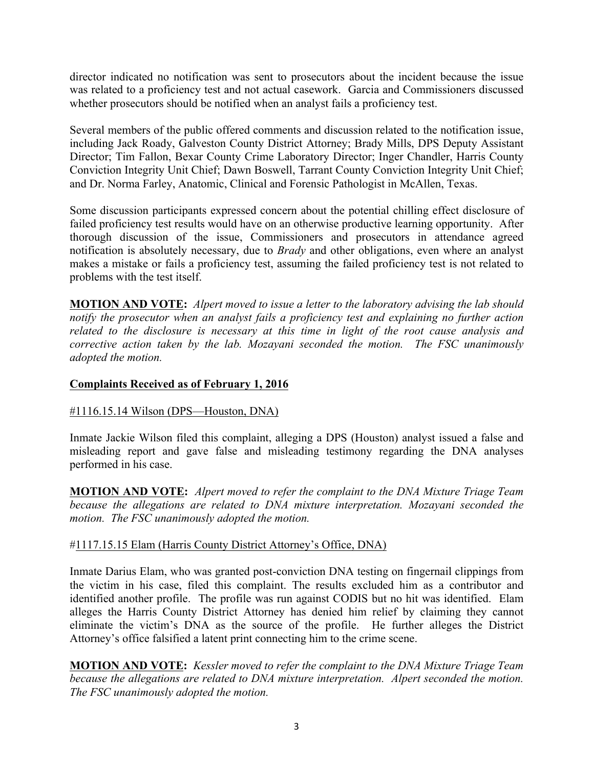director indicated no notification was sent to prosecutors about the incident because the issue was related to a proficiency test and not actual casework. Garcia and Commissioners discussed whether prosecutors should be notified when an analyst fails a proficiency test.

Several members of the public offered comments and discussion related to the notification issue, including Jack Roady, Galveston County District Attorney; Brady Mills, DPS Deputy Assistant Director; Tim Fallon, Bexar County Crime Laboratory Director; Inger Chandler, Harris County Conviction Integrity Unit Chief; Dawn Boswell, Tarrant County Conviction Integrity Unit Chief; and Dr. Norma Farley, Anatomic, Clinical and Forensic Pathologist in McAllen, Texas.

Some discussion participants expressed concern about the potential chilling effect disclosure of failed proficiency test results would have on an otherwise productive learning opportunity. After thorough discussion of the issue, Commissioners and prosecutors in attendance agreed notification is absolutely necessary, due to *Brady* and other obligations, even where an analyst makes a mistake or fails a proficiency test, assuming the failed proficiency test is not related to problems with the test itself.

**MOTION AND VOTE:** *Alpert moved to issue a letter to the laboratory advising the lab should notify the prosecutor when an analyst fails a proficiency test and explaining no further action related to the disclosure is necessary at this time in light of the root cause analysis and corrective action taken by the lab. Mozayani seconded the motion. The FSC unanimously adopted the motion.*

## **Complaints Received as of February 1, 2016**

#### #1116.15.14 Wilson (DPS—Houston, DNA)

Inmate Jackie Wilson filed this complaint, alleging a DPS (Houston) analyst issued a false and misleading report and gave false and misleading testimony regarding the DNA analyses performed in his case.

**MOTION AND VOTE:** *Alpert moved to refer the complaint to the DNA Mixture Triage Team because the allegations are related to DNA mixture interpretation. Mozayani seconded the motion. The FSC unanimously adopted the motion.*

#### #1117.15.15 Elam (Harris County District Attorney's Office, DNA)

Inmate Darius Elam, who was granted post-conviction DNA testing on fingernail clippings from the victim in his case, filed this complaint. The results excluded him as a contributor and identified another profile. The profile was run against CODIS but no hit was identified. Elam alleges the Harris County District Attorney has denied him relief by claiming they cannot eliminate the victim's DNA as the source of the profile. He further alleges the District Attorney's office falsified a latent print connecting him to the crime scene.

**MOTION AND VOTE:** *Kessler moved to refer the complaint to the DNA Mixture Triage Team because the allegations are related to DNA mixture interpretation. Alpert seconded the motion. The FSC unanimously adopted the motion.*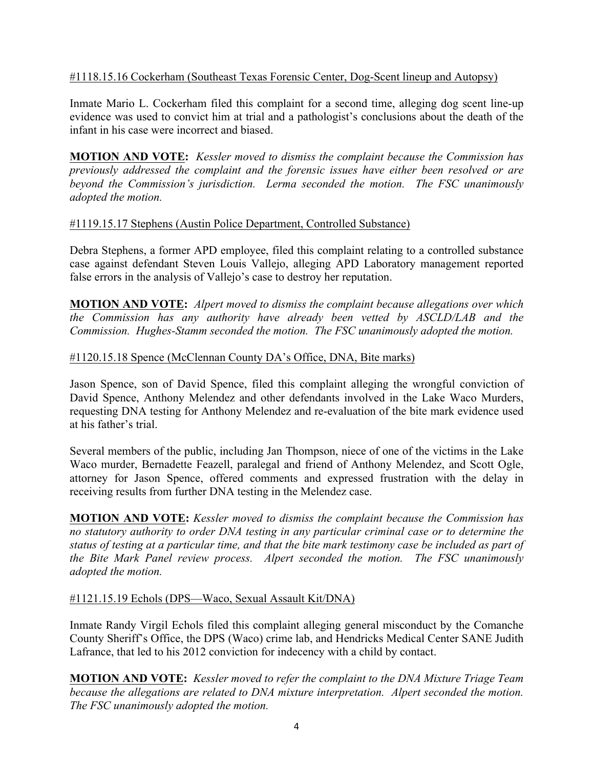## #1118.15.16 Cockerham (Southeast Texas Forensic Center, Dog-Scent lineup and Autopsy)

Inmate Mario L. Cockerham filed this complaint for a second time, alleging dog scent line-up evidence was used to convict him at trial and a pathologist's conclusions about the death of the infant in his case were incorrect and biased.

**MOTION AND VOTE:** *Kessler moved to dismiss the complaint because the Commission has previously addressed the complaint and the forensic issues have either been resolved or are beyond the Commission's jurisdiction. Lerma seconded the motion. The FSC unanimously adopted the motion.*

## #1119.15.17 Stephens (Austin Police Department, Controlled Substance)

Debra Stephens, a former APD employee, filed this complaint relating to a controlled substance case against defendant Steven Louis Vallejo, alleging APD Laboratory management reported false errors in the analysis of Vallejo's case to destroy her reputation.

**MOTION AND VOTE:** *Alpert moved to dismiss the complaint because allegations over which the Commission has any authority have already been vetted by ASCLD/LAB and the Commission. Hughes-Stamm seconded the motion. The FSC unanimously adopted the motion.*

## #1120.15.18 Spence (McClennan County DA's Office, DNA, Bite marks)

Jason Spence, son of David Spence, filed this complaint alleging the wrongful conviction of David Spence, Anthony Melendez and other defendants involved in the Lake Waco Murders, requesting DNA testing for Anthony Melendez and re-evaluation of the bite mark evidence used at his father's trial.

Several members of the public, including Jan Thompson, niece of one of the victims in the Lake Waco murder, Bernadette Feazell, paralegal and friend of Anthony Melendez, and Scott Ogle, attorney for Jason Spence, offered comments and expressed frustration with the delay in receiving results from further DNA testing in the Melendez case.

**MOTION AND VOTE:** *Kessler moved to dismiss the complaint because the Commission has no statutory authority to order DNA testing in any particular criminal case or to determine the status of testing at a particular time, and that the bite mark testimony case be included as part of the Bite Mark Panel review process. Alpert seconded the motion. The FSC unanimously adopted the motion.*

# #1121.15.19 Echols (DPS—Waco, Sexual Assault Kit/DNA)

Inmate Randy Virgil Echols filed this complaint alleging general misconduct by the Comanche County Sheriff's Office, the DPS (Waco) crime lab, and Hendricks Medical Center SANE Judith Lafrance, that led to his 2012 conviction for indecency with a child by contact.

**MOTION AND VOTE:** *Kessler moved to refer the complaint to the DNA Mixture Triage Team because the allegations are related to DNA mixture interpretation. Alpert seconded the motion. The FSC unanimously adopted the motion.*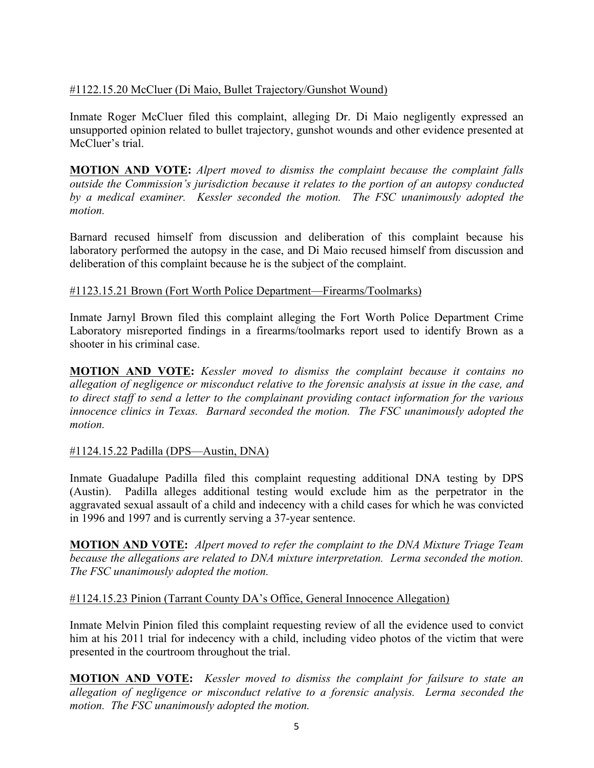## #1122.15.20 McCluer (Di Maio, Bullet Trajectory/Gunshot Wound)

Inmate Roger McCluer filed this complaint, alleging Dr. Di Maio negligently expressed an unsupported opinion related to bullet trajectory, gunshot wounds and other evidence presented at McCluer's trial.

**MOTION AND VOTE:** *Alpert moved to dismiss the complaint because the complaint falls outside the Commission's jurisdiction because it relates to the portion of an autopsy conducted by a medical examiner. Kessler seconded the motion. The FSC unanimously adopted the motion.*

Barnard recused himself from discussion and deliberation of this complaint because his laboratory performed the autopsy in the case, and Di Maio recused himself from discussion and deliberation of this complaint because he is the subject of the complaint.

### #1123.15.21 Brown (Fort Worth Police Department—Firearms/Toolmarks)

Inmate Jarnyl Brown filed this complaint alleging the Fort Worth Police Department Crime Laboratory misreported findings in a firearms/toolmarks report used to identify Brown as a shooter in his criminal case.

**MOTION AND VOTE:** *Kessler moved to dismiss the complaint because it contains no allegation of negligence or misconduct relative to the forensic analysis at issue in the case, and to direct staff to send a letter to the complainant providing contact information for the various innocence clinics in Texas. Barnard seconded the motion. The FSC unanimously adopted the motion.*

## #1124.15.22 Padilla (DPS—Austin, DNA)

Inmate Guadalupe Padilla filed this complaint requesting additional DNA testing by DPS (Austin). Padilla alleges additional testing would exclude him as the perpetrator in the aggravated sexual assault of a child and indecency with a child cases for which he was convicted in 1996 and 1997 and is currently serving a 37-year sentence.

**MOTION AND VOTE:** *Alpert moved to refer the complaint to the DNA Mixture Triage Team because the allegations are related to DNA mixture interpretation. Lerma seconded the motion. The FSC unanimously adopted the motion.*

## #1124.15.23 Pinion (Tarrant County DA's Office, General Innocence Allegation)

Inmate Melvin Pinion filed this complaint requesting review of all the evidence used to convict him at his 2011 trial for indecency with a child, including video photos of the victim that were presented in the courtroom throughout the trial.

**MOTION AND VOTE:** *Kessler moved to dismiss the complaint for failsure to state an allegation of negligence or misconduct relative to a forensic analysis. Lerma seconded the motion. The FSC unanimously adopted the motion.*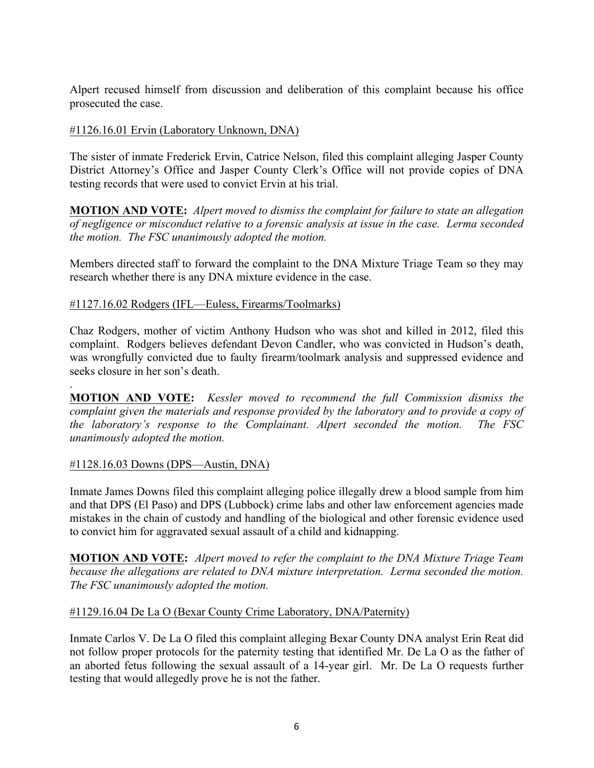Alpert recused himself from discussion and deliberation of this complaint because his office prosecuted the case.

### #1126.16.01 Ervin (Laboratory Unknown, DNA)

The sister of inmate Frederick Ervin, Catrice Nelson, filed this complaint alleging Jasper County District Attorney's Office and Jasper County Clerk's Office will not provide copies of DNA testing records that were used to convict Ervin at his trial.

**MOTION AND VOTE:** *Alpert moved to dismiss the complaint for failure to state an allegation of negligence or misconduct relative to a forensic analysis at issue in the case. Lerma seconded the motion. The FSC unanimously adopted the motion.*

Members directed staff to forward the complaint to the DNA Mixture Triage Team so they may research whether there is any DNA mixture evidence in the case.

#### #1127.16.02 Rodgers (IFL—Euless, Firearms/Toolmarks)

Chaz Rodgers, mother of victim Anthony Hudson who was shot and killed in 2012, filed this complaint. Rodgers believes defendant Devon Candler, who was convicted in Hudson's death, was wrongfully convicted due to faulty firearm/toolmark analysis and suppressed evidence and seeks closure in her son's death.

**MOTION AND VOTE:** *Kessler moved to recommend the full Commission dismiss the complaint given the materials and response provided by the laboratory and to provide a copy of the laboratory's response to the Complainant. Alpert seconded the motion. The FSC unanimously adopted the motion.*

#### #1128.16.03 Downs (DPS—Austin, DNA)

.

Inmate James Downs filed this complaint alleging police illegally drew a blood sample from him and that DPS (El Paso) and DPS (Lubbock) crime labs and other law enforcement agencies made mistakes in the chain of custody and handling of the biological and other forensic evidence used to convict him for aggravated sexual assault of a child and kidnapping.

**MOTION AND VOTE:** *Alpert moved to refer the complaint to the DNA Mixture Triage Team because the allegations are related to DNA mixture interpretation. Lerma seconded the motion. The FSC unanimously adopted the motion.*

#### #1129.16.04 De La O (Bexar County Crime Laboratory, DNA/Paternity)

Inmate Carlos V. De La O filed this complaint alleging Bexar County DNA analyst Erin Reat did not follow proper protocols for the paternity testing that identified Mr. De La O as the father of an aborted fetus following the sexual assault of a 14-year girl. Mr. De La O requests further testing that would allegedly prove he is not the father.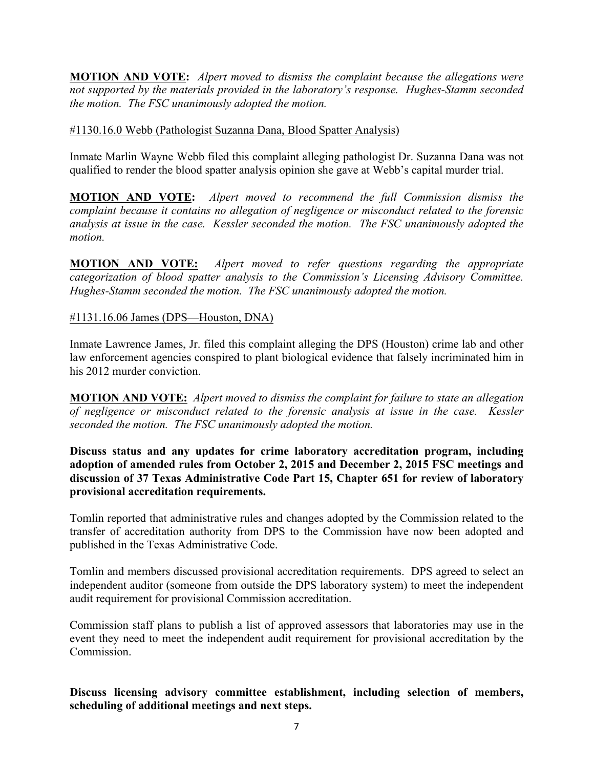**MOTION AND VOTE:** *Alpert moved to dismiss the complaint because the allegations were not supported by the materials provided in the laboratory's response. Hughes-Stamm seconded the motion. The FSC unanimously adopted the motion.*

### #1130.16.0 Webb (Pathologist Suzanna Dana, Blood Spatter Analysis)

Inmate Marlin Wayne Webb filed this complaint alleging pathologist Dr. Suzanna Dana was not qualified to render the blood spatter analysis opinion she gave at Webb's capital murder trial.

**MOTION AND VOTE:** *Alpert moved to recommend the full Commission dismiss the complaint because it contains no allegation of negligence or misconduct related to the forensic analysis at issue in the case. Kessler seconded the motion. The FSC unanimously adopted the motion.*

**MOTION AND VOTE:** *Alpert moved to refer questions regarding the appropriate categorization of blood spatter analysis to the Commission's Licensing Advisory Committee. Hughes-Stamm seconded the motion. The FSC unanimously adopted the motion.*

### #1131.16.06 James (DPS—Houston, DNA)

Inmate Lawrence James, Jr. filed this complaint alleging the DPS (Houston) crime lab and other law enforcement agencies conspired to plant biological evidence that falsely incriminated him in his 2012 murder conviction.

**MOTION AND VOTE:** *Alpert moved to dismiss the complaint for failure to state an allegation of negligence or misconduct related to the forensic analysis at issue in the case. Kessler seconded the motion. The FSC unanimously adopted the motion.*

**Discuss status and any updates for crime laboratory accreditation program, including adoption of amended rules from October 2, 2015 and December 2, 2015 FSC meetings and discussion of 37 Texas Administrative Code Part 15, Chapter 651 for review of laboratory provisional accreditation requirements.** 

Tomlin reported that administrative rules and changes adopted by the Commission related to the transfer of accreditation authority from DPS to the Commission have now been adopted and published in the Texas Administrative Code.

Tomlin and members discussed provisional accreditation requirements. DPS agreed to select an independent auditor (someone from outside the DPS laboratory system) to meet the independent audit requirement for provisional Commission accreditation.

Commission staff plans to publish a list of approved assessors that laboratories may use in the event they need to meet the independent audit requirement for provisional accreditation by the Commission.

**Discuss licensing advisory committee establishment, including selection of members, scheduling of additional meetings and next steps.**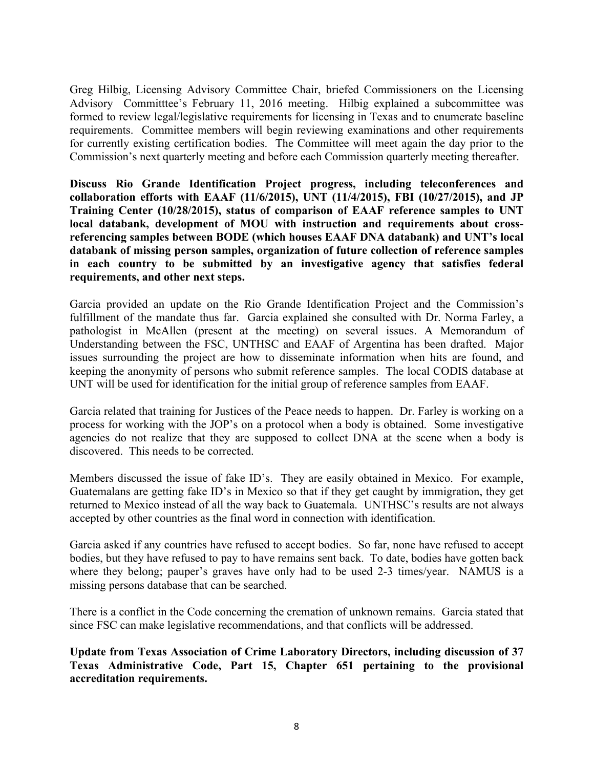Greg Hilbig, Licensing Advisory Committee Chair, briefed Commissioners on the Licensing Advisory Committtee's February 11, 2016 meeting. Hilbig explained a subcommittee was formed to review legal/legislative requirements for licensing in Texas and to enumerate baseline requirements. Committee members will begin reviewing examinations and other requirements for currently existing certification bodies. The Committee will meet again the day prior to the Commission's next quarterly meeting and before each Commission quarterly meeting thereafter.

**Discuss Rio Grande Identification Project progress, including teleconferences and collaboration efforts with EAAF (11/6/2015), UNT (11/4/2015), FBI (10/27/2015), and JP Training Center (10/28/2015), status of comparison of EAAF reference samples to UNT local databank, development of MOU with instruction and requirements about crossreferencing samples between BODE (which houses EAAF DNA databank) and UNT's local databank of missing person samples, organization of future collection of reference samples in each country to be submitted by an investigative agency that satisfies federal requirements, and other next steps.** 

Garcia provided an update on the Rio Grande Identification Project and the Commission's fulfillment of the mandate thus far. Garcia explained she consulted with Dr. Norma Farley, a pathologist in McAllen (present at the meeting) on several issues. A Memorandum of Understanding between the FSC, UNTHSC and EAAF of Argentina has been drafted. Major issues surrounding the project are how to disseminate information when hits are found, and keeping the anonymity of persons who submit reference samples. The local CODIS database at UNT will be used for identification for the initial group of reference samples from EAAF.

Garcia related that training for Justices of the Peace needs to happen. Dr. Farley is working on a process for working with the JOP's on a protocol when a body is obtained. Some investigative agencies do not realize that they are supposed to collect DNA at the scene when a body is discovered. This needs to be corrected.

Members discussed the issue of fake ID's. They are easily obtained in Mexico. For example, Guatemalans are getting fake ID's in Mexico so that if they get caught by immigration, they get returned to Mexico instead of all the way back to Guatemala. UNTHSC's results are not always accepted by other countries as the final word in connection with identification.

Garcia asked if any countries have refused to accept bodies. So far, none have refused to accept bodies, but they have refused to pay to have remains sent back. To date, bodies have gotten back where they belong; pauper's graves have only had to be used 2-3 times/year. NAMUS is a missing persons database that can be searched.

There is a conflict in the Code concerning the cremation of unknown remains. Garcia stated that since FSC can make legislative recommendations, and that conflicts will be addressed.

**Update from Texas Association of Crime Laboratory Directors, including discussion of 37 Texas Administrative Code, Part 15, Chapter 651 pertaining to the provisional accreditation requirements.**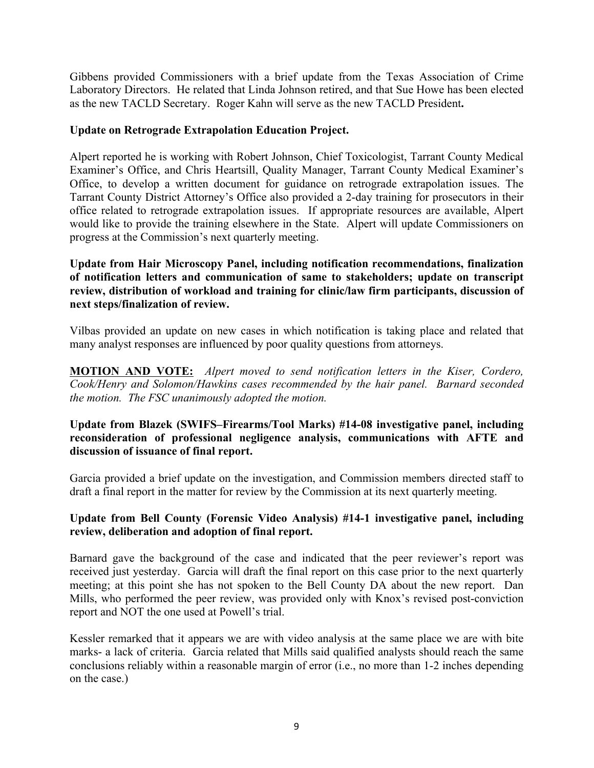Gibbens provided Commissioners with a brief update from the Texas Association of Crime Laboratory Directors. He related that Linda Johnson retired, and that Sue Howe has been elected as the new TACLD Secretary. Roger Kahn will serve as the new TACLD President**.**

### **Update on Retrograde Extrapolation Education Project.**

Alpert reported he is working with Robert Johnson, Chief Toxicologist, Tarrant County Medical Examiner's Office, and Chris Heartsill, Quality Manager, Tarrant County Medical Examiner's Office, to develop a written document for guidance on retrograde extrapolation issues. The Tarrant County District Attorney's Office also provided a 2-day training for prosecutors in their office related to retrograde extrapolation issues. If appropriate resources are available, Alpert would like to provide the training elsewhere in the State. Alpert will update Commissioners on progress at the Commission's next quarterly meeting.

### **Update from Hair Microscopy Panel, including notification recommendations, finalization of notification letters and communication of same to stakeholders; update on transcript review, distribution of workload and training for clinic/law firm participants, discussion of next steps/finalization of review.**

Vilbas provided an update on new cases in which notification is taking place and related that many analyst responses are influenced by poor quality questions from attorneys.

**MOTION AND VOTE:** *Alpert moved to send notification letters in the Kiser, Cordero, Cook/Henry and Solomon/Hawkins cases recommended by the hair panel. Barnard seconded the motion. The FSC unanimously adopted the motion.*

### **Update from Blazek (SWIFS–Firearms/Tool Marks) #14-08 investigative panel, including reconsideration of professional negligence analysis, communications with AFTE and discussion of issuance of final report.**

Garcia provided a brief update on the investigation, and Commission members directed staff to draft a final report in the matter for review by the Commission at its next quarterly meeting.

### **Update from Bell County (Forensic Video Analysis) #14-1 investigative panel, including review, deliberation and adoption of final report.**

Barnard gave the background of the case and indicated that the peer reviewer's report was received just yesterday. Garcia will draft the final report on this case prior to the next quarterly meeting; at this point she has not spoken to the Bell County DA about the new report. Dan Mills, who performed the peer review, was provided only with Knox's revised post-conviction report and NOT the one used at Powell's trial.

Kessler remarked that it appears we are with video analysis at the same place we are with bite marks- a lack of criteria. Garcia related that Mills said qualified analysts should reach the same conclusions reliably within a reasonable margin of error (i.e., no more than 1-2 inches depending on the case.)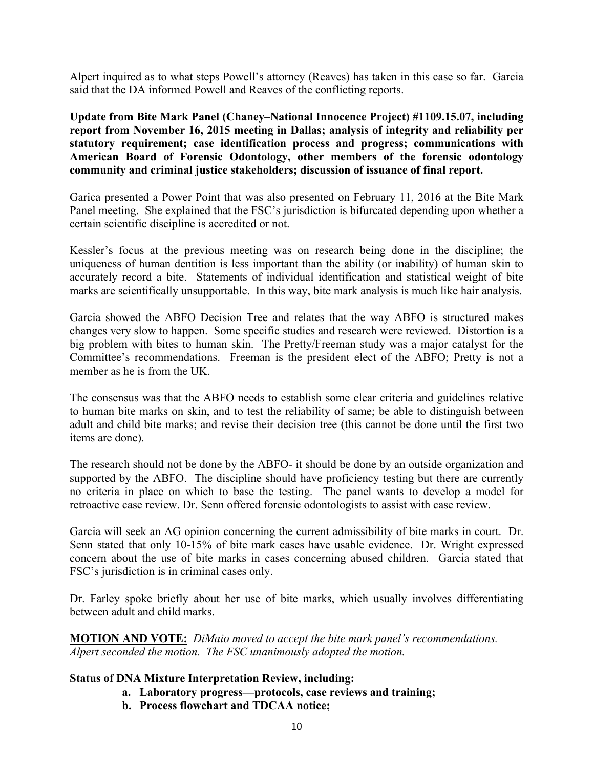Alpert inquired as to what steps Powell's attorney (Reaves) has taken in this case so far. Garcia said that the DA informed Powell and Reaves of the conflicting reports.

**Update from Bite Mark Panel (Chaney–National Innocence Project) #1109.15.07, including report from November 16, 2015 meeting in Dallas; analysis of integrity and reliability per statutory requirement; case identification process and progress; communications with American Board of Forensic Odontology, other members of the forensic odontology community and criminal justice stakeholders; discussion of issuance of final report.** 

Garica presented a Power Point that was also presented on February 11, 2016 at the Bite Mark Panel meeting. She explained that the FSC's jurisdiction is bifurcated depending upon whether a certain scientific discipline is accredited or not.

Kessler's focus at the previous meeting was on research being done in the discipline; the uniqueness of human dentition is less important than the ability (or inability) of human skin to accurately record a bite. Statements of individual identification and statistical weight of bite marks are scientifically unsupportable. In this way, bite mark analysis is much like hair analysis.

Garcia showed the ABFO Decision Tree and relates that the way ABFO is structured makes changes very slow to happen. Some specific studies and research were reviewed. Distortion is a big problem with bites to human skin. The Pretty/Freeman study was a major catalyst for the Committee's recommendations. Freeman is the president elect of the ABFO; Pretty is not a member as he is from the UK

The consensus was that the ABFO needs to establish some clear criteria and guidelines relative to human bite marks on skin, and to test the reliability of same; be able to distinguish between adult and child bite marks; and revise their decision tree (this cannot be done until the first two items are done).

The research should not be done by the ABFO- it should be done by an outside organization and supported by the ABFO. The discipline should have proficiency testing but there are currently no criteria in place on which to base the testing. The panel wants to develop a model for retroactive case review. Dr. Senn offered forensic odontologists to assist with case review.

Garcia will seek an AG opinion concerning the current admissibility of bite marks in court. Dr. Senn stated that only 10-15% of bite mark cases have usable evidence. Dr. Wright expressed concern about the use of bite marks in cases concerning abused children. Garcia stated that FSC's jurisdiction is in criminal cases only.

Dr. Farley spoke briefly about her use of bite marks, which usually involves differentiating between adult and child marks.

**MOTION AND VOTE:** *DiMaio moved to accept the bite mark panel's recommendations. Alpert seconded the motion. The FSC unanimously adopted the motion.*

## **Status of DNA Mixture Interpretation Review, including:**

- **a. Laboratory progress—protocols, case reviews and training;**
- **b. Process flowchart and TDCAA notice;**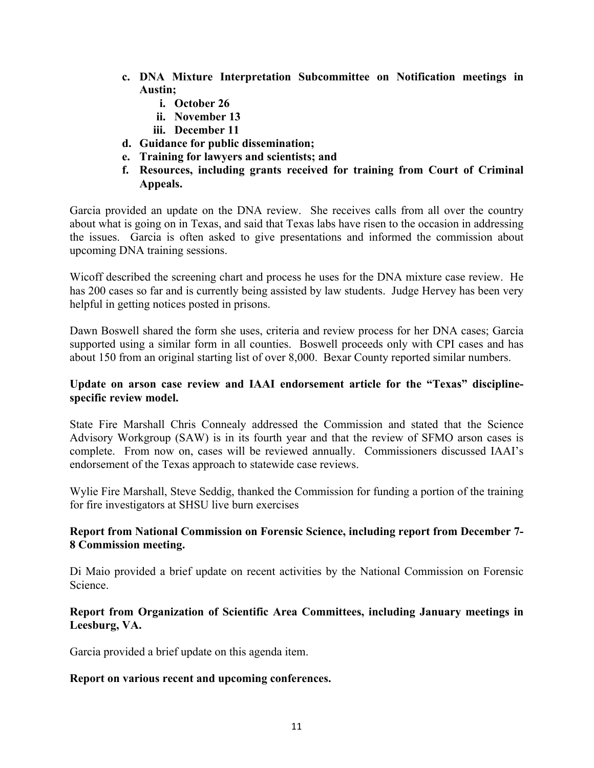- **c. DNA Mixture Interpretation Subcommittee on Notification meetings in Austin;**
	- **i. October 26**
	- **ii. November 13**
	- **iii. December 11**
- **d. Guidance for public dissemination;**
- **e. Training for lawyers and scientists; and**
- **f. Resources, including grants received for training from Court of Criminal Appeals.**

Garcia provided an update on the DNA review. She receives calls from all over the country about what is going on in Texas, and said that Texas labs have risen to the occasion in addressing the issues. Garcia is often asked to give presentations and informed the commission about upcoming DNA training sessions.

Wicoff described the screening chart and process he uses for the DNA mixture case review. He has 200 cases so far and is currently being assisted by law students. Judge Hervey has been very helpful in getting notices posted in prisons.

Dawn Boswell shared the form she uses, criteria and review process for her DNA cases; Garcia supported using a similar form in all counties. Boswell proceeds only with CPI cases and has about 150 from an original starting list of over 8,000. Bexar County reported similar numbers.

## **Update on arson case review and IAAI endorsement article for the "Texas" disciplinespecific review model.**

State Fire Marshall Chris Connealy addressed the Commission and stated that the Science Advisory Workgroup (SAW) is in its fourth year and that the review of SFMO arson cases is complete. From now on, cases will be reviewed annually. Commissioners discussed IAAI's endorsement of the Texas approach to statewide case reviews.

Wylie Fire Marshall, Steve Seddig, thanked the Commission for funding a portion of the training for fire investigators at SHSU live burn exercises

## **Report from National Commission on Forensic Science, including report from December 7- 8 Commission meeting.**

Di Maio provided a brief update on recent activities by the National Commission on Forensic Science.

## **Report from Organization of Scientific Area Committees, including January meetings in Leesburg, VA.**

Garcia provided a brief update on this agenda item.

## **Report on various recent and upcoming conferences.**